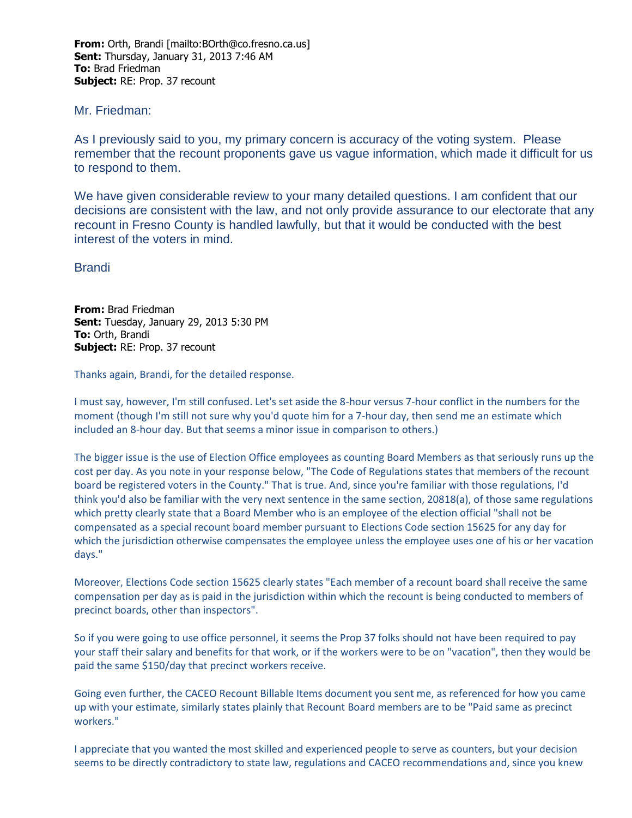**From:** Orth, Brandi [mailto:BOrth@co.fresno.ca.us] **Sent:** Thursday, January 31, 2013 7:46 AM **To:** Brad Friedman **Subject:** RE: Prop. 37 recount

## Mr. Friedman:

As I previously said to you, my primary concern is accuracy of the voting system. Please remember that the recount proponents gave us vague information, which made it difficult for us to respond to them.

We have given considerable review to your many detailed questions. I am confident that our decisions are consistent with the law, and not only provide assurance to our electorate that any recount in Fresno County is handled lawfully, but that it would be conducted with the best interest of the voters in mind.

Brandi

**From:** Brad Friedman **Sent:** Tuesday, January 29, 2013 5:30 PM **To:** Orth, Brandi **Subject:** RE: Prop. 37 recount

Thanks again, Brandi, for the detailed response.

I must say, however, I'm still confused. Let's set aside the 8-hour versus 7-hour conflict in the numbers for the moment (though I'm still not sure why you'd quote him for a 7-hour day, then send me an estimate which included an 8-hour day. But that seems a minor issue in comparison to others.)

The bigger issue is the use of Election Office employees as counting Board Members as that seriously runs up the cost per day. As you note in your response below, "The Code of Regulations states that members of the recount board be registered voters in the County." That is true. And, since you're familiar with those regulations, I'd think you'd also be familiar with the very next sentence in the same section, 20818(a), of those same regulations which pretty clearly state that a Board Member who is an employee of the election official "shall not be compensated as a special recount board member pursuant to Elections Code section 15625 for any day for which the jurisdiction otherwise compensates the employee unless the employee uses one of his or her vacation days."

Moreover, Elections Code section 15625 clearly states "Each member of a recount board shall receive the same compensation per day as is paid in the jurisdiction within which the recount is being conducted to members of precinct boards, other than inspectors".

So if you were going to use office personnel, it seems the Prop 37 folks should not have been required to pay your staff their salary and benefits for that work, or if the workers were to be on "vacation", then they would be paid the same \$150/day that precinct workers receive.

Going even further, the CACEO Recount Billable Items document you sent me, as referenced for how you came up with your estimate, similarly states plainly that Recount Board members are to be "Paid same as precinct workers."

I appreciate that you wanted the most skilled and experienced people to serve as counters, but your decision seems to be directly contradictory to state law, regulations and CACEO recommendations and, since you knew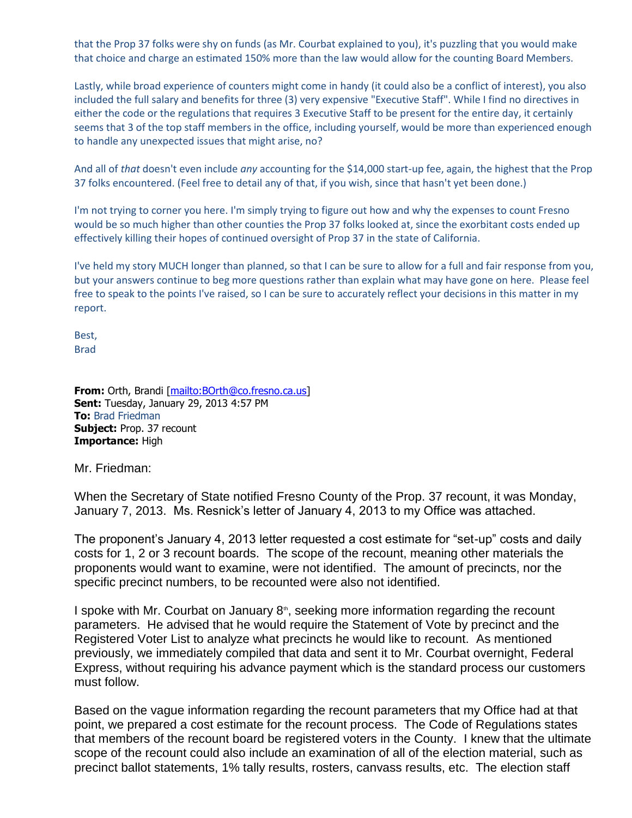that the Prop 37 folks were shy on funds (as Mr. Courbat explained to you), it's puzzling that you would make that choice and charge an estimated 150% more than the law would allow for the counting Board Members.

Lastly, while broad experience of counters might come in handy (it could also be a conflict of interest), you also included the full salary and benefits for three (3) very expensive "Executive Staff". While I find no directives in either the code or the regulations that requires 3 Executive Staff to be present for the entire day, it certainly seems that 3 of the top staff members in the office, including yourself, would be more than experienced enough to handle any unexpected issues that might arise, no?

And all of *that* doesn't even include *any* accounting for the \$14,000 start-up fee, again, the highest that the Prop 37 folks encountered. (Feel free to detail any of that, if you wish, since that hasn't yet been done.)

I'm not trying to corner you here. I'm simply trying to figure out how and why the expenses to count Fresno would be so much higher than other counties the Prop 37 folks looked at, since the exorbitant costs ended up effectively killing their hopes of continued oversight of Prop 37 in the state of California.

I've held my story MUCH longer than planned, so that I can be sure to allow for a full and fair response from you, but your answers continue to beg more questions rather than explain what may have gone on here. Please feel free to speak to the points I've raised, so I can be sure to accurately reflect your decisions in this matter in my report.

Best, Brad

**From:** Orth, Brandi [mailto: BOrth@co.fresno.ca.us] **Sent:** Tuesday, January 29, 2013 4:57 PM **To:** Brad Friedman **Subject: Prop. 37 recount Importance:** High

Mr. Friedman:

When the Secretary of State notified Fresno County of the Prop. 37 recount, it was Monday, January 7, 2013. Ms. Resnick's letter of January 4, 2013 to my Office was attached.

The proponent's January 4, 2013 letter requested a cost estimate for "set-up" costs and daily costs for 1, 2 or 3 recount boards. The scope of the recount, meaning other materials the proponents would want to examine, were not identified. The amount of precincts, nor the specific precinct numbers, to be recounted were also not identified.

I spoke with Mr. Courbat on January  $8<sup>th</sup>$ , seeking more information regarding the recount parameters. He advised that he would require the Statement of Vote by precinct and the Registered Voter List to analyze what precincts he would like to recount. As mentioned previously, we immediately compiled that data and sent it to Mr. Courbat overnight, Federal Express, without requiring his advance payment which is the standard process our customers must follow.

Based on the vague information regarding the recount parameters that my Office had at that point, we prepared a cost estimate for the recount process. The Code of Regulations states that members of the recount board be registered voters in the County. I knew that the ultimate scope of the recount could also include an examination of all of the election material, such as precinct ballot statements, 1% tally results, rosters, canvass results, etc. The election staff